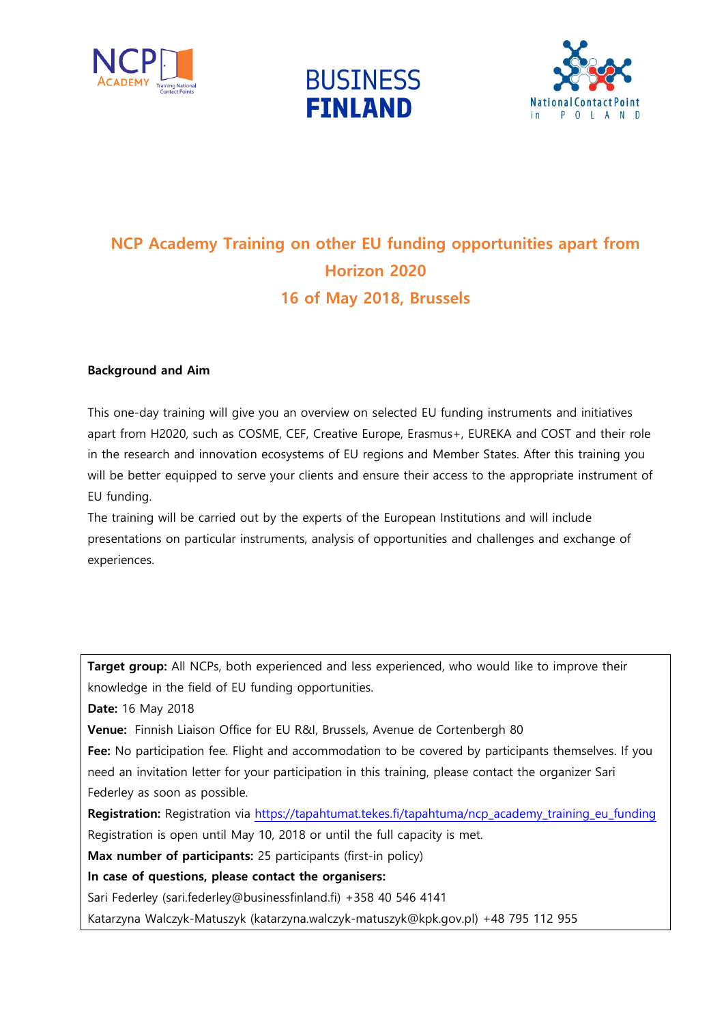





## **NCP Academy Training on other EU funding opportunities apart from Horizon 2020 16 of May 2018, Brussels**

## **Background and Aim**

This one-day training will give you an overview on selected EU funding instruments and initiatives apart from H2020, such as COSME, CEF, Creative Europe, Erasmus+, EUREKA and COST and their role in the research and innovation ecosystems of EU regions and Member States. After this training you will be better equipped to serve your clients and ensure their access to the appropriate instrument of EU funding.

The training will be carried out by the experts of the European Institutions and will include presentations on particular instruments, analysis of opportunities and challenges and exchange of experiences.

**Target group:** All NCPs, both experienced and less experienced, who would like to improve their knowledge in the field of EU funding opportunities.

**Date:** 16 May 2018

**Venue:** Finnish Liaison Office for EU R&I, Brussels, Avenue de Cortenbergh 80

**Fee:** No participation fee. Flight and accommodation to be covered by participants themselves. If you need an invitation letter for your participation in this training, please contact the organizer Sari Federley as soon as possible.

**Registration:** Registration via [https://tapahtumat.tekes.fi/tapahtuma/ncp\\_academy\\_training\\_eu\\_funding](https://tapahtumat.tekes.fi/tapahtuma/ncp_academy_training_eu_funding) Registration is open until May 10, 2018 or until the full capacity is met.

**Max number of participants:** 25 participants (first-in policy)

**In case of questions, please contact the organisers:** 

Sari Federley (sari.federley@businessfinland.fi) +358 40 546 4141

Katarzyna Walczyk-Matuszyk (katarzyna.walczyk-matuszyk@kpk.gov.pl) +48 795 112 955